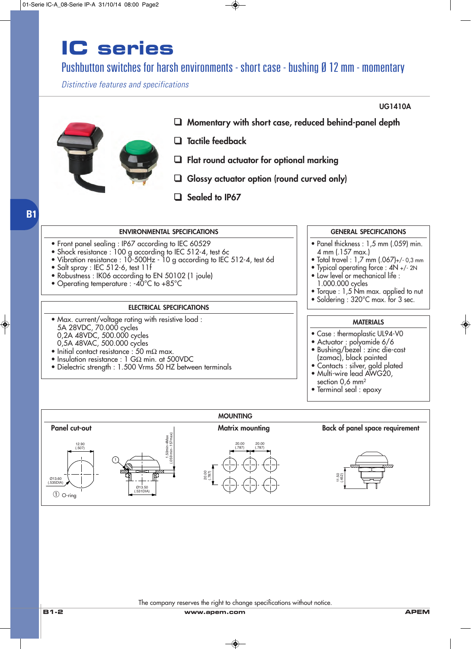#### Pushbutton switches for harsh environments - short case - bushing Ø 12 mm - momentary

*Distinctive features and specifications*



**B1**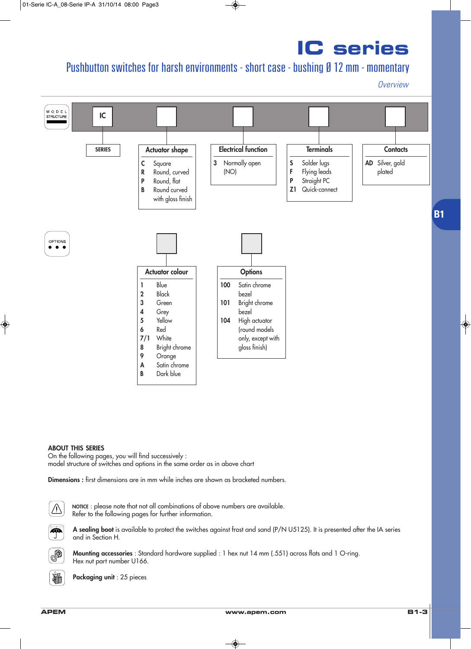### Pushbutton switches for harsh environments - short case - bushing Ø 12 mm - momentary

*Overview*



#### **ABOUT THIS SERIES**

On the following pages, you will find successively : model structure of switches and options in the same order as in above chart

**Dimensions :** first dimensions are in mm while inches are shown as bracketed numbers.



**NOTICE** : please note that not all combinations of above numbers are available. Refer to the following pages for further information.



**A sealing boot** is available to protect the switches against frost and sand (P/N U5125). It is presented after the IA series and in Section H.



**Mounting accessories** : Standard hardware supplied : 1 hex nut 14 mm (.551) across flats and 1 O-ring. Hex nut part number U166.

**Packaging unit** : 25 pieces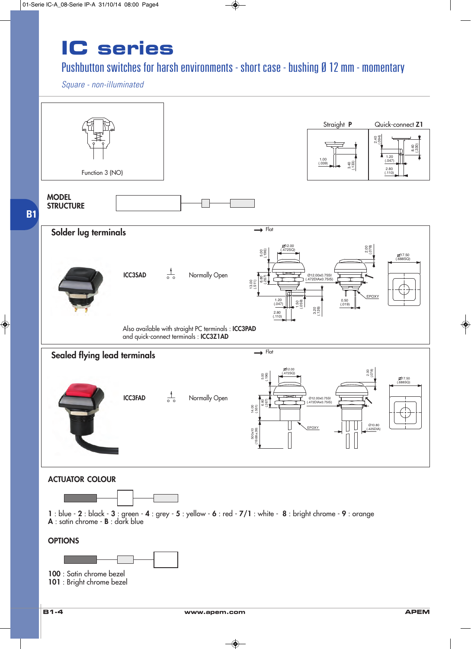#### Pushbutton switches for harsh environments - short case - bushing Ø 12 mm - momentary

*Square - non-illuminated*

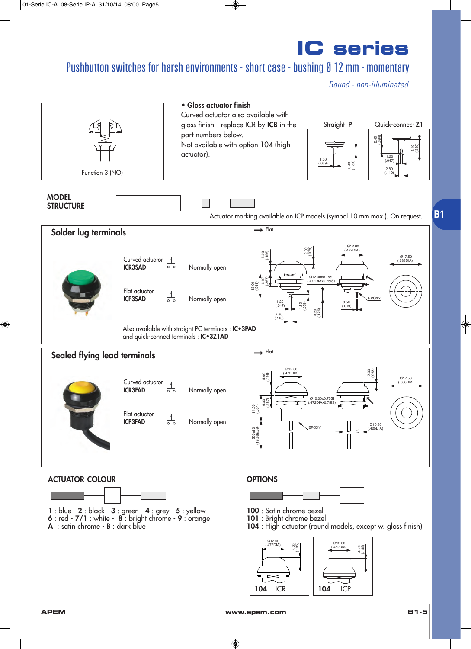#### Pushbutton switches for harsh environments - short case - bushing Ø 12 mm - momentary

*Round - non-illuminated*

**B1**